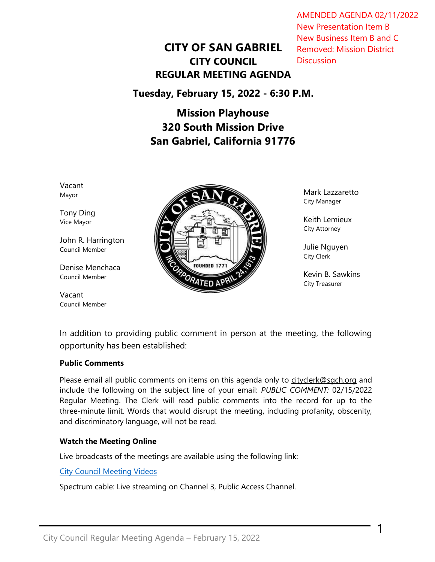**CITY OF SAN GABRIEL CITY COUNCIL REGULAR MEETING AGENDA** 

Ì. AMENDED AGENDA 02/11/2022 New Presentation Item B New Business Item B and C Removed: Mission District **Discussion** 

**Tuesday, February 15, 2022 - 6:30 P.M.**

# **Mission Playhouse 320 South Mission Drive San Gabriel, California 91776**

Vacant Mayor

Tony Ding Vice Mayor

John R. Harrington Council Member

Denise Menchaca Council Member

Vacant Council Member



Mark Lazzaretto City Manager

Keith Lemieux City Attorney

Julie Nguyen City Clerk

Kevin B. Sawkins City Treasurer

1

In addition to providing public comment in person at the meeting, the following opportunity has been established:

#### **Public Comments**

Please email all public comments on items on this agenda only to [cityclerk@sgch.org](mailto:cityclerk@sgch.org) and include the following on the subject line of your email: *PUBLIC COMMENT:* 02/15/2022 Regular Meeting. The Clerk will read public comments into the record for up to the three-minute limit. Words that would disrupt the meeting, including profanity, obscenity, and discriminatory language, will not be read.

#### **Watch the Meeting Online**

Live broadcasts of the meetings are available using the following link:

[City Council Meeting Videos](https://www.youtube.com/CityofSanGabriel)

Spectrum cable: Live streaming on Channel 3, Public Access Channel.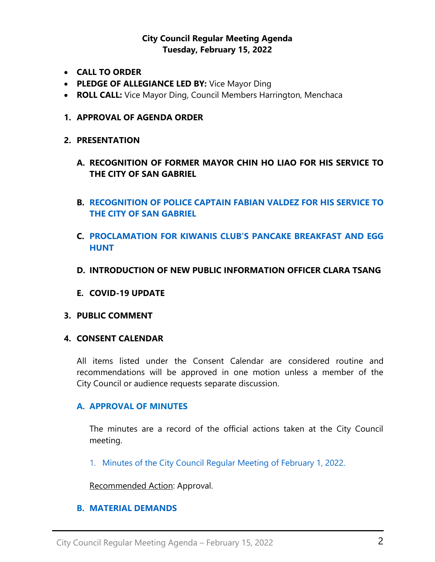# **City Council Regular Meeting Agenda Tuesday, February 15, 2022**

- **CALL TO ORDER**
- **PLEDGE OF ALLEGIANCE LED BY:** Vice Mayor Ding
- **ROLL CALL:** Vice Mayor Ding, Council Members Harrington, Menchaca
- **1. APPROVAL OF AGENDA ORDER**
- **2. PRESENTATION**
	- **A. RECOGNITION OF FORMER MAYOR CHIN HO LIAO FOR HIS SERVICE TO THE CITY OF SAN GABRIEL**
	- **B. [RECOGNITION OF POLICE CAPTAIN FABIAN VALDEZ FOR HIS SERVICE TO](https://www.sangabrielcity.com/DocumentCenter/View/16094/22---Certificate-of-Recognition---Fabian-Valdez)  [THE CITY OF SAN GABRIEL](https://www.sangabrielcity.com/DocumentCenter/View/16094/22---Certificate-of-Recognition---Fabian-Valdez)**
	- **C. PROCLAMATION [FOR KIWANIS CLUB'S](https://www.sangabrielcity.com/DocumentCenter/View/16071/22---Proclamation-for-Kiwanis-Club-Pancake-Breakfast-and-Egg-Hunt) PANCAKE BREAKFAST AND EGG [HUNT](https://www.sangabrielcity.com/DocumentCenter/View/16071/22---Proclamation-for-Kiwanis-Club-Pancake-Breakfast-and-Egg-Hunt)**
	- **D. INTRODUCTION OF NEW PUBLIC INFORMATION OFFICER CLARA TSANG**
	- **E. COVID-19 UPDATE**

#### **3. PUBLIC COMMENT**

#### **4. CONSENT CALENDAR**

All items listed under the Consent Calendar are considered routine and recommendations will be approved in one motion unless a member of the City Council or audience requests separate discussion.

#### **A. APPROVAL OF MINUTES**

The minutes are a record of the official actions taken at the City Council meeting.

1. [Minutes of the City Council Regular Meeting of February 1, 2022.](https://www.sangabrielcity.com/DocumentCenter/View/16078/Item-4A---02-01-2022-Regular-Minutes)

Recommended Action: Approval.

#### **B. [MATERIAL DEMANDS](https://www.sangabrielcity.com/DocumentCenter/View/16079/Item-4B--Material-Demands)**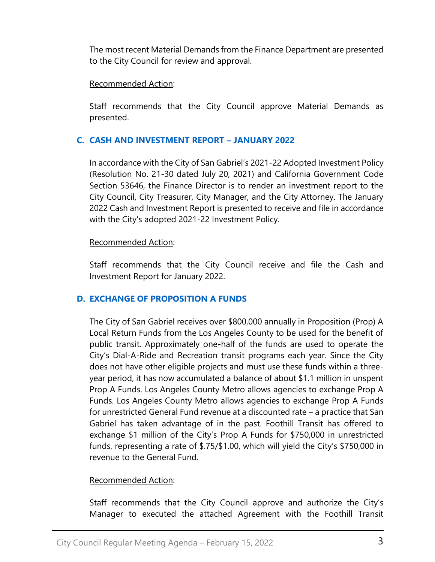The most recent Material Demands from the Finance Department are presented to the City Council for review and approval.

### Recommended Action:

Staff recommends that the City Council approve Material Demands as presented.

# **C. [CASH AND INVESTMENT REPORT](https://www.sangabrielcity.com/DocumentCenter/View/16073/Item-4C---Cash-and-Investmente-Report---January-2022) – JANUARY 2022**

In accordance with the City of San Gabriel's 2021-22 Adopted Investment Policy (Resolution No. 21-30 dated July 20, 2021) and California Government Code Section 53646, the Finance Director is to render an investment report to the City Council, City Treasurer, City Manager, and the City Attorney. The January 2022 Cash and Investment Report is presented to receive and file in accordance with the City's adopted 2021-22 Investment Policy.

# Recommended Action:

Staff recommends that the City Council receive and file the Cash and Investment Report for January 2022.

# **D. [EXCHANGE OF PROPOSITION A FUNDS](https://www.sangabrielcity.com/DocumentCenter/View/16074/Item-4D---Exchange-of-Proposition-A-Funds)**

The City of San Gabriel receives over \$800,000 annually in Proposition (Prop) A Local Return Funds from the Los Angeles County to be used for the benefit of public transit. Approximately one-half of the funds are used to operate the City's Dial-A-Ride and Recreation transit programs each year. Since the City does not have other eligible projects and must use these funds within a threeyear period, it has now accumulated a balance of about \$1.1 million in unspent Prop A Funds. Los Angeles County Metro allows agencies to exchange Prop A Funds. Los Angeles County Metro allows agencies to exchange Prop A Funds for unrestricted General Fund revenue at a discounted rate – a practice that San Gabriel has taken advantage of in the past. Foothill Transit has offered to exchange \$1 million of the City's Prop A Funds for \$750,000 in unrestricted funds, representing a rate of \$.75/\$1.00, which will yield the City's \$750,000 in revenue to the General Fund.

# Recommended Action:

Staff recommends that the City Council approve and authorize the City's Manager to executed the attached Agreement with the Foothill Transit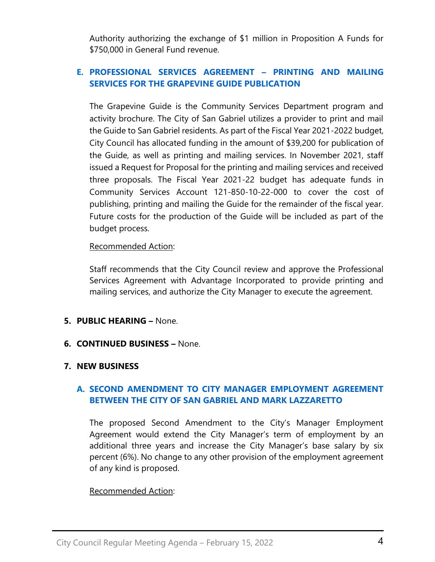Authority authorizing the exchange of \$1 million in Proposition A Funds for \$750,000 in General Fund revenue.

# **E. [PROFESSIONAL SERVICES AGREEMENT](https://www.sangabrielcity.com/DocumentCenter/View/16075/Item-4E---PSA---Printing-and-Mailing-Services-for-the-Grapevine-Guide-Publication) – PRINTING AND MAILING [SERVICES FOR THE GRAPEVINE GUIDE PUBLICATION](https://www.sangabrielcity.com/DocumentCenter/View/16075/Item-4E---PSA---Printing-and-Mailing-Services-for-the-Grapevine-Guide-Publication)**

The Grapevine Guide is the Community Services Department program and activity brochure. The City of San Gabriel utilizes a provider to print and mail the Guide to San Gabriel residents. As part of the Fiscal Year 2021-2022 budget, City Council has allocated funding in the amount of \$39,200 for publication of the Guide, as well as printing and mailing services. In November 2021, staff issued a Request for Proposal for the printing and mailing services and received three proposals. The Fiscal Year 2021-22 budget has adequate funds in Community Services Account 121-850-10-22-000 to cover the cost of publishing, printing and mailing the Guide for the remainder of the fiscal year. Future costs for the production of the Guide will be included as part of the budget process.

#### Recommended Action:

Staff recommends that the City Council review and approve the Professional Services Agreement with Advantage Incorporated to provide printing and mailing services, and authorize the City Manager to execute the agreement.

# **5. PUBLIC HEARING –** None.

**6. CONTINUED BUSINESS –** None.

# **7. NEW BUSINESS**

# **A. [SECOND AMENDMENT TO CITY MANAGER EMPLOYMENT AGREEMENT](https://www.sangabrielcity.com/DocumentCenter/View/16077/Item-7B---Second-Amendment-to-City-Manager-Employment-Agreement-between-the-City-of-San-Gabriel-and-Mark-Lazzaretto)  [BETWEEN THE CITY OF SAN GABRIEL AND MARK LAZZARETTO](https://www.sangabrielcity.com/DocumentCenter/View/16077/Item-7B---Second-Amendment-to-City-Manager-Employment-Agreement-between-the-City-of-San-Gabriel-and-Mark-Lazzaretto)**

The proposed Second Amendment to the City's Manager Employment Agreement would extend the City Manager's term of employment by an additional three years and increase the City Manager's base salary by six percent (6%). No change to any other provision of the employment agreement of any kind is proposed.

# Recommended Action: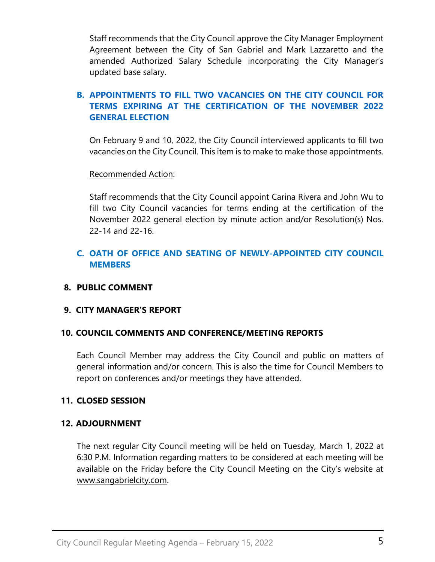Staff recommends that the City Council approve the City Manager Employment Agreement between the City of San Gabriel and Mark Lazzaretto and the amended Authorized Salary Schedule incorporating the City Manager's updated base salary.

# **B. [APPOINTMENTS TO FILL TWO VACANCIES ON THE CITY COUNCIL FOR](https://www.sangabrielcity.com/DocumentCenter/View/16093/Item-7C---Appointments-to-Fill-Two-Vacancies-on-the-City-Council-for-Terms-Expiring)  [TERMS EXPIRING AT THE CERTIFICATION OF THE NOVEMBER 2022](https://www.sangabrielcity.com/DocumentCenter/View/16093/Item-7C---Appointments-to-Fill-Two-Vacancies-on-the-City-Council-for-Terms-Expiring)  [GENERAL ELECTION](https://www.sangabrielcity.com/DocumentCenter/View/16093/Item-7C---Appointments-to-Fill-Two-Vacancies-on-the-City-Council-for-Terms-Expiring)**

On February 9 and 10, 2022, the City Council interviewed applicants to fill two vacancies on the City Council. This item is to make to make those appointments.

#### Recommended Action:

Staff recommends that the City Council appoint Carina Rivera and John Wu to fill two City Council vacancies for terms ending at the certification of the November 2022 general election by minute action and/or Resolution(s) Nos. 22-14 and 22-16.

# **C. OATH OF OFFICE AND SEATING OF NEWLY-APPOINTED CITY COUNCIL MEMBERS**

#### **8. PUBLIC COMMENT**

# **9. CITY MANAGER'S REPORT**

#### **10. COUNCIL COMMENTS AND CONFERENCE/MEETING REPORTS**

Each Council Member may address the City Council and public on matters of general information and/or concern. This is also the time for Council Members to report on conferences and/or meetings they have attended.

#### **11. CLOSED SESSION**

# **12. ADJOURNMENT**

The next regular City Council meeting will be held on Tuesday, March 1, 2022 at 6:30 P.M. Information regarding matters to be considered at each meeting will be available on the Friday before the City Council Meeting on the City's website at [www.sangabrielcity.com.](http://www.sangabrielcity.com/)